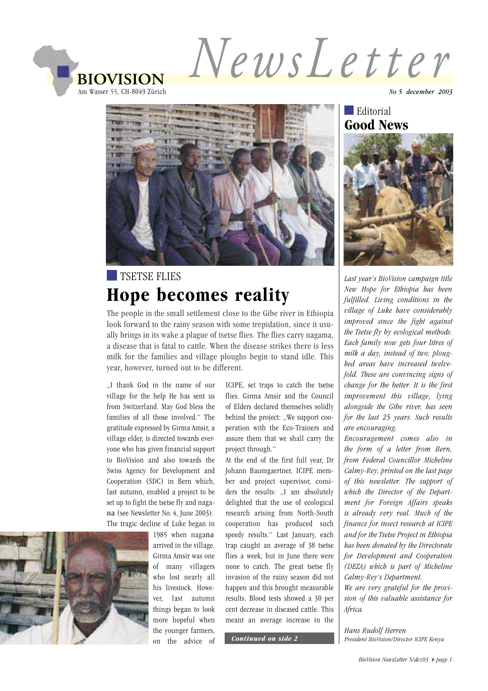NewsLetter **BIOVISION** Am Wasser 55, CH-8049 Zürich



# **TSETSE FLIES Hope becomes reality**

The people in the small settlement close to the Gibe river in Ethiopia look forward to the rainy season with some trepidation, since it usually brings in its wake a plague of tsetse flies. The flies carry nagama, a disease that is fatal to cattle. When the disease strikes there is less milk for the families and village ploughs begin to stand idle. This year, however, turned out to be different.

..I thank God in the name of our village for the help He has sent us from Switzerland. May God bless the families of all those involved." The gratitude expressed by Girma Amsir, a village elder, is directed towards evervone who has given financial support to BioVision and also towards the Swiss Agency for Development and Cooperation (SDC) in Bern which. last autumn, enabled a project to be set up to fight the tsetse fly and nagana (see Newsletter No. 4, June 2003). The tragic decline of Luke began in

1985 when nagana arrived in the village. Girma Amsir was one of many villagers who lost nearly all his livestock. However. last autumn things began to look more hopeful when the younger farmers, on the advice of

ICIPE, set traps to catch the tsetse flies. Girma Amsir and the Council of Elders declared themselves solidly behind the project: ..We support cooperation with the Eco-Trainers and assure them that we shall carry the project through."

At the end of the first full year, Dr Johann Baumgaertner, ICIPE member and project supervisor, considers the results: "I am absolutely delighted that the use of ecological research arising from North-South cooperation has produced such speedy results." Last January, each trap caught an average of 38 tsetse flies a week, but in June there were none to catch. The great tsetse fly invasion of the rainy season did not happen and this brought measurable results. Blood tests showed a 30 per cent decrease in diseased cattle. This meant an average increase in the

Continued on side 2

No 5 december 2003

#### $\blacksquare$  Editorial **Good News**



Last year's BioVision campaign title New Hope for Ethiopia has been fulfilled. Living conditions in the village of Luke have considerably improved since the fight against the Tsetse fly by ecological methods. Each family now gets four litres of milk a day, instead of two; ploughed areas have increased twelvefold. These are convincing signs of change for the better. It is the first improvement this village, lying alongside the Gibe river, has seen for the last 25 years. Such results are encouraging.

Encouragement comes also in the form of a letter from Bern. from Federal Councillor Micheline Calmy-Rey, printed on the last page of this newsletter. The support of which the Director of the Department for Foreign Affairs speaks is already very real. Much of the finance for insect research at ICIPE and for the Tsetse Project in Ethiopia has been donated by the Directorate for Development and Cooperation (DEZA) which is part of Micheline Calmy-Rey's Department.

We are very grateful for the provision of this valuable assistance for Africa.

Hans Rudolf Herren President BioVision/Director ICIPE Kenya

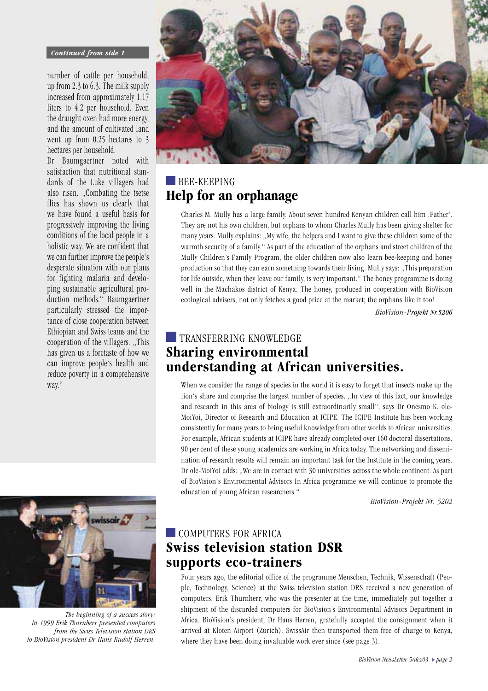#### **Continued from side 1**

number of cattle per household, up from 2.3 to  $6.3$ . The milk supply increased from approximately 1.17 liters to 4.2 per household. Even the draught oxen had more energy, and the amount of cultivated land went up from  $0.25$  hectares to  $3$ hectares per household.

Dr Baumgaertner noted with satisfaction that nutritional standards of the Luke villagers had also risen. "Combating the tsetse flies has shown us clearly that we have found a useful basis for progressively improving the living conditions of the local people in a holistic way. We are confident that we can further improve the people's desperate situation with our plans for fighting malaria and developing sustainable agricultural production methods." Baumgaertner particularly stressed the importance of close cooperation between Ethiopian and Swiss teams and the cooperation of the villagers. "This has given us a foretaste of how we can improve people's health and reduce poverty in a comprehensive way."



The beginning of a success story: In 1999 Erik Thurnberr presented computers from the Swiss Television station DRS to BioVision president Dr Hans Rudolf Herren.



### **BEE-KEEPING** Help for an orphanage

Charles M. Mully has a large family. About seven hundred Kenyan children call him ,Father'. They are not his own children, but orphans to whom Charles Mully has been giving shelter for many years. Mully explains: "My wife, the helpers and I want to give these children some of the warmth security of a family." As part of the education of the orphans and street children of the Mully Children's Family Program, the older children now also learn bee-keeping and honey production so that they can earn something towards their living. Mully says: "This preparation for life outside, when they leave our family, is very important." The honey programme is doing well in the Machakos district of Kenya. The honey, produced in cooperation with BioVision ecological advisers, not only fetches a good price at the market; the orphans like it too!

BioVision-Projekt Nr.5206

# **TRANSFERRING KNOWLEDGE Sharing environmental** understanding at African universities.

When we consider the range of species in the world it is easy to forget that insects make up the lion's share and comprise the largest number of species. "In view of this fact, our knowledge and research in this area of biology is still extraordinarily small", says Dr Onesmo K. ole-MoiYoi, Director of Research and Education at ICIPE. The ICIPE Institute has been working consistently for many years to bring useful knowledge from other worlds to African universities. For example, African students at ICIPE have already completed over 160 doctoral dissertations. 90 per cent of these young academics are working in Africa today. The networking and dissemination of research results will remain an important task for the Institute in the coming years. Dr ole-MoiYoi adds: "We are in contact with 30 universities across the whole continent. As part of BioVision's Environmental Advisors In Africa programme we will continue to promote the education of young African researchers."

BioVision-Projekt Nr. 5202

# COMPUTERS FOR AFRICA **Swiss television station DSR** supports eco-trainers

Four years ago, the editorial office of the programme Menschen, Technik, Wissenschaft (People, Technology, Science) at the Swiss television station DRS received a new generation of computers. Erik Thurnherr, who was the presenter at the time, immediately put together a shipment of the discarded computers for BioVision's Environmental Advisors Department in Africa. BioVision's president, Dr Hans Herren, gratefully accepted the consignment when it arrived at Kloten Airport (Zurich). SwissAir then transported them free of charge to Kenya, where they have been doing invaluable work ever since (see page 3).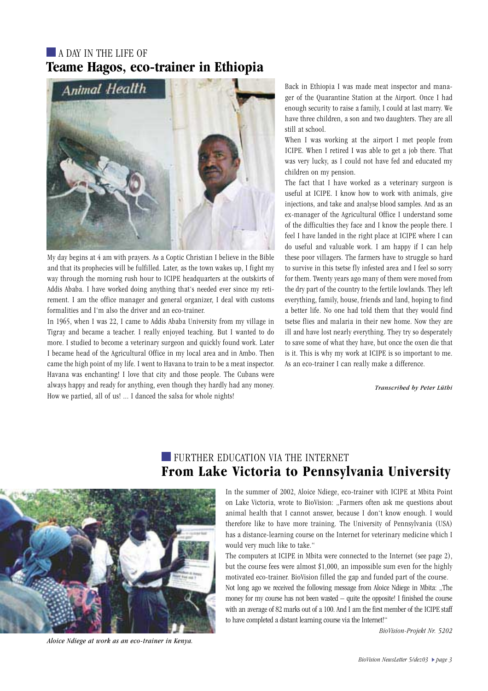#### $\blacksquare$  A DAY IN THE LIFE OF Teame Hagos, eco-trainer in Ethiopia



My day begins at 4 am with prayers. As a Coptic Christian I believe in the Bible and that its prophecies will be fulfilled. Later, as the town wakes up, I fight my way through the morning rush hour to ICIPE headquarters at the outskirts of Addis Ababa. I have worked doing anything that's needed ever since my retirement. I am the office manager and general organizer, I deal with customs formalities and I'm also the driver and an eco-trainer.

In 1965, when I was 22, I came to Addis Ababa University from my village in Tigray and became a teacher. I really enjoyed teaching. But I wanted to do more. I studied to become a veterinary surgeon and quickly found work. Later I became head of the Agricultural Office in my local area and in Ambo. Then came the high point of my life. I went to Havana to train to be a meat inspector. Havana was enchanting! I love that city and those people. The Cubans were always happy and ready for anything, even though they hardly had any money. How we partied, all of us! ... I danced the salsa for whole nights!

Back in Ethiopia I was made meat inspector and manager of the Quarantine Station at the Airport. Once I had enough security to raise a family, I could at last marry. We have three children, a son and two daughters. They are all still at school.

When I was working at the airport I met people from ICIPE. When I retired I was able to get a job there. That was very lucky, as I could not have fed and educated my children on my pension.

The fact that I have worked as a veterinary surgeon is useful at ICIPE. I know how to work with animals, give injections, and take and analyse blood samples. And as an ex-manager of the Agricultural Office I understand some of the difficulties they face and I know the people there. I feel I have landed in the right place at ICIPE where I can do useful and valuable work. I am happy if I can help these poor villagers. The farmers have to struggle so hard to survive in this tsetse fly infested area and I feel so sorry for them. Twenty years ago many of them were moved from the dry part of the country to the fertile lowlands. They left everything, family, house, friends and land, hoping to find a better life. No one had told them that they would find tsetse flies and malaria in their new home. Now they are ill and have lost nearly everything. They try so desperately to save some of what they have, but once the oxen die that is it. This is why my work at ICIPE is so important to me. As an eco-trainer I can really make a difference.

*Transcribed by Peter Lüthi* 



*Aloice Ndiege at work as an eco-trainer in Kenya.* 

## **FURTHER EDUCATION VIA THE INTERNET** From Lake Victoria to Pennsylvania University

In the summer of 2002, Aloice Ndiege, eco-trainer with ICIPE at Mbita Point on Lake Victoria, wrote to BioVision: "Farmers often ask me questions about animal health that I cannot answer, because I don't know enough. I would therefore like to have more training. The University of Pennsylvania (USA) has a distance-learning course on the Internet for veterinary medicine which I would very much like to take."

The computers at ICIPE in Mbita were connected to the Internet (see page 2), but the course fees were almost  $$1,000$ , an impossible sum even for the highly motivated eco-trainer. BioVision filled the gap and funded part of the course.

Not long ago we received the following message from Aloice Ndiege in Mbita: "The money for my course has not been wasted  $-$  quite the opposite! I finished the course with an average of 82 marks out of a 100. And I am the first member of the ICIPE staff to have completed a distant learning course via the Internet!"

BioVision-Projekt Nr. 5202